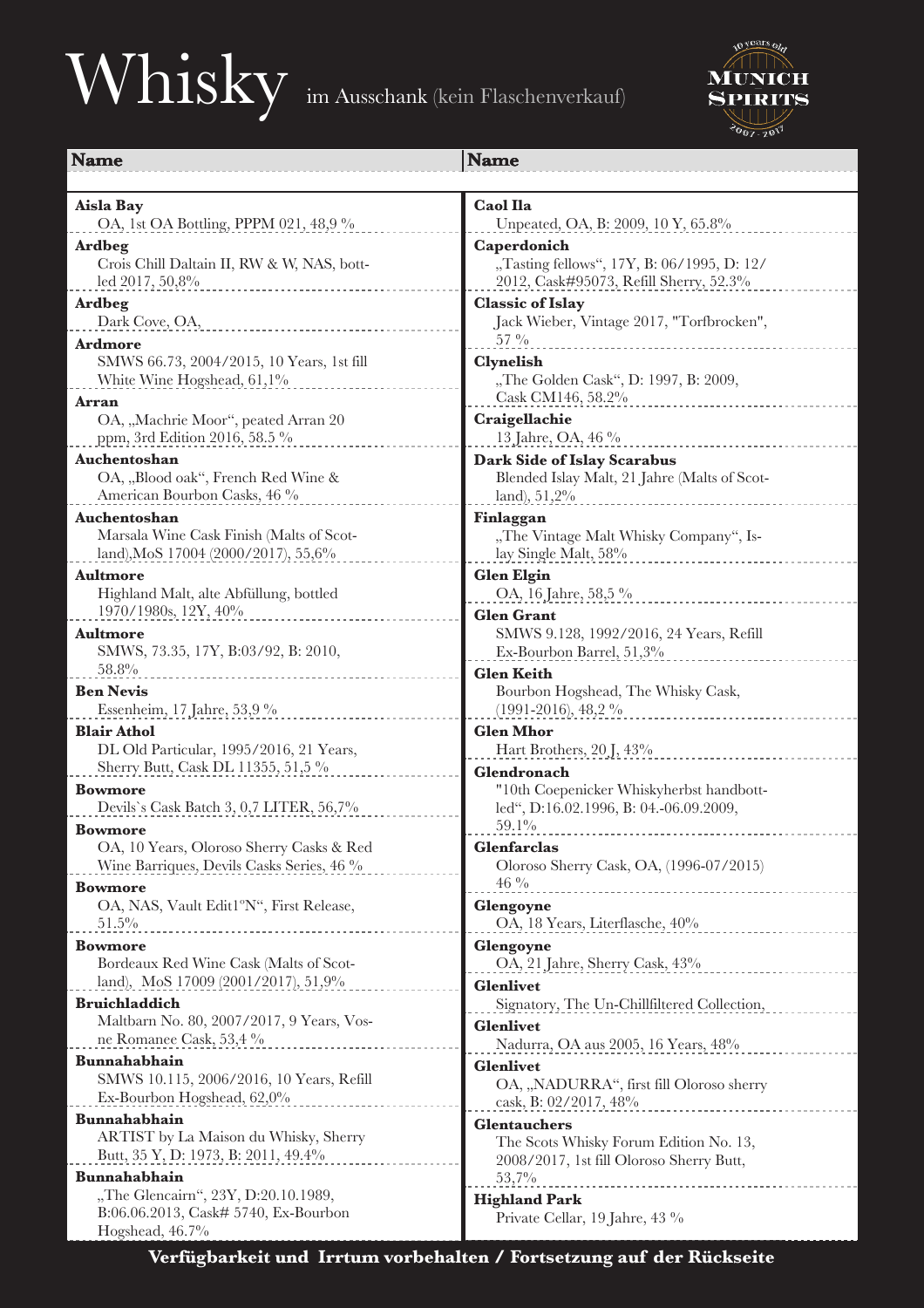## Whisky im Ausschank (kein Flaschenverkauf)



| <b>Name</b>                                                                           | <b>Name</b>                                                   |
|---------------------------------------------------------------------------------------|---------------------------------------------------------------|
| Aisla Bay                                                                             | <b>Caol Ila</b>                                               |
| OA, 1st OA Bottling, PPPM 021, 48,9%                                                  | Unpeated, OA, B: 2009, 10 Y, 65.8%                            |
| Ardbeg                                                                                | Caperdonich                                                   |
| Crois Chill Daltain II, RW & W, NAS, bott-                                            | "Tasting fellows", 17Y, B: 06/1995, D: 12/                    |
| led 2017, 50,8%                                                                       | 2012, Cask#95073, Refill Sherry, 52.3%                        |
| Ardbeg                                                                                | <b>Classic of Islay</b>                                       |
| Dark Cove, OA,                                                                        | Jack Wieber, Vintage 2017, "Torfbrocken",                     |
| <b>Ardmore</b>                                                                        | $57\frac{0}{0}$                                               |
| SMWS 66.73, 2004/2015, 10 Years, 1st fill                                             | <b>Clynelish</b>                                              |
| White Wine Hogshead, 61,1%                                                            | "The Golden Cask", D: 1997, B: 2009,                          |
| Arran                                                                                 | Cask CM146, 58.2%                                             |
| OA, "Machrie Moor", peated Arran 20                                                   | Craigellachie                                                 |
| ppm, 3rd Edition 2016, 58.5 %                                                         | 13 Jahre, OA, 46 %                                            |
| Auchentoshan                                                                          | Dark Side of Islay Scarabus                                   |
| OA, "Blood oak", French Red Wine &                                                    | Blended Islay Malt, 21 Jahre (Malts of Scot-                  |
| American Bourbon Casks, 46 %                                                          | land), $51,2\%$                                               |
| Auchentoshan                                                                          | Finlaggan                                                     |
| Marsala Wine Cask Finish (Malts of Scot-                                              | "The Vintage Malt Whisky Company", Is-                        |
| land), MoS 17004 (2000/2017), 55,6%                                                   | lay Single Malt, 58%                                          |
| <b>Aultmore</b>                                                                       | <b>Glen Elgin</b>                                             |
| Highland Malt, alte Abfüllung, bottled                                                | OA, 16 Jahre, 58,5 %                                          |
| 1970/1980s, 12Y, 40%                                                                  | <b>Glen Grant</b>                                             |
| <b>Aultmore</b>                                                                       | SMWS 9.128, 1992/2016, 24 Years, Refill                       |
| SMWS, 73.35, 17Y, B:03/92, B: 2010,                                                   | Ex-Bourbon Barrel, 51,3%                                      |
| 58.8%                                                                                 | <b>Glen Keith</b>                                             |
| <b>Ben Nevis</b>                                                                      | Bourbon Hogshead, The Whisky Cask,                            |
| Essenheim, 17 Jahre, 53,9 %                                                           | $(1991-2016), 48, 2\%$                                        |
| <b>Blair Athol</b>                                                                    | <b>Glen Mhor</b>                                              |
| DL Old Particular, 1995/2016, 21 Years,                                               | Hart Brothers, 20 J, 43%                                      |
| Sherry Butt, Cask DL 11355, 51,5 %                                                    | Glendronach                                                   |
| <b>Bowmore</b>                                                                        | "10th Coepenicker Whiskyherbst handbott-                      |
| Devils's Cask Batch 3, 0,7 LITER, 56,7%                                               | led", D:16.02.1996, B: 04.-06.09.2009,<br>59.1%               |
| <b>Bowmore</b>                                                                        |                                                               |
| OA, 10 Years, Oloroso Sherry Casks & Red<br>Wine Barriques, Devils Casks Series, 46 % | <b>Glenfarclas</b><br>Oloroso Sherry Cask, OA, (1996-07/2015) |
|                                                                                       | $46\%$                                                        |
| <b>Bowmore</b><br>OA, NAS, Vault Edit1°N", First Release,                             | Glengoyne                                                     |
| $51.5\%$                                                                              | OA, 18 Years, Literflasche, 40%                               |
| <b>Bowmore</b>                                                                        |                                                               |
| Bordeaux Red Wine Cask (Malts of Scot-                                                | Glengoyne<br>OA, 21 Jahre, Sherry Cask, 43%                   |
| land), MoS $17009(2001/2017)$ , 51,9%                                                 | <b>Glenlivet</b>                                              |
| <b>Bruichladdich</b>                                                                  | Signatory, The Un-Chillfiltered Collection,                   |
| Maltbarn No. 80, 2007/2017, 9 Years, Vos-                                             | <b>Glenlivet</b>                                              |
| ne Romanee Cask, 53,4 %                                                               | Nadurra, OA aus 2005, 16 Years, 48%                           |
| Bunnahabhain                                                                          | <b>Glenlivet</b>                                              |
| SMWS 10.115, 2006/2016, 10 Years, Refill                                              | OA, "NADURRA", first fill Oloroso sherry                      |
| Ex-Bourbon Hogshead, 62,0%                                                            | cask, B: 02/2017, 48%                                         |
| Bunnahabhain                                                                          | <b>Glentauchers</b>                                           |
| ARTIST by La Maison du Whisky, Sherry                                                 | The Scots Whisky Forum Edition No. 13,                        |
| Butt, 35 Y, D: 1973, B: 2011, 49.4%                                                   | 2008/2017, 1st fill Oloroso Sherry Butt,                      |
| Bunnahabhain                                                                          | $53,7\%$                                                      |
| "The Glencairn", 23Y, D:20.10.1989,                                                   | <b>Highland Park</b>                                          |
| B:06.06.2013, Cask# 5740, Ex-Bourbon                                                  | Private Cellar, 19 Jahre, 43 %                                |
| Hogshead, 46.7%                                                                       |                                                               |